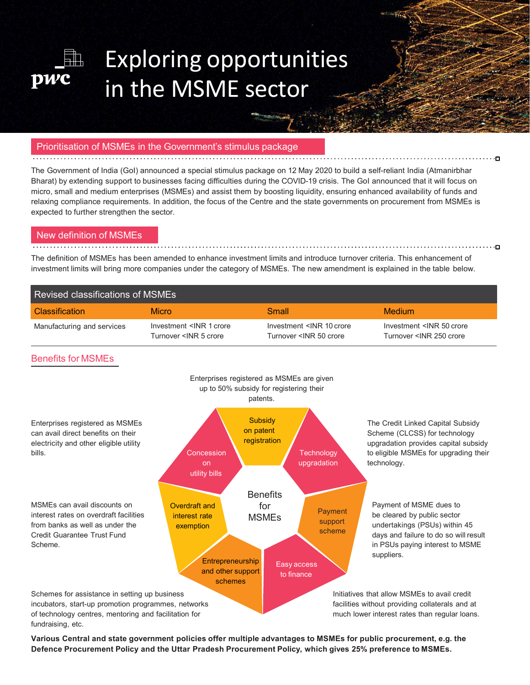

# Exploring opportunities in the MSME sector

The Government of India (GoI) announced a special stimulus package on 12 May 2020 to build a self-reliant India (Atmanirbhar Bharat) by extending support to businesses facing difficulties during the COVID-19 crisis. The GoI announced that it will focus on micro, small and medium enterprises (MSMEs) and assist them by boosting liquidity, ensuring enhanced availability of funds and relaxing compliance requirements. In addition, the focus of the Centre and the state governments on procurement from MSMEs is Exploring opportunities CREATED CONTINUIS CREATED THE CONTINUIS CREATED THE CONTINUIS CREATED THE CONTINUIS CREATED THE CONTINUIS CREATED THE CONTINUIS CREATED THE CONTINUIS CREATED THE CONTINUIS CREATED THE CONDUCT OF THE **EXPLOTING OPPOTTUNITIES**<br> **In the MSME sector**<br> **Production of MSMEs in the Government's stimulus package<br>
The Government of India (Approximately and Approximately and Approximately and Approximately and Approximately and EXPIORITY OPPORTUNITIES**<br> **PRIORITHERENT SECTOR**<br> **PRIORITHERENT SECTOR SECTOR SECTOR SECTOR SECTOR SECTOR SECTOR SECTOR SECTOR SECTOR SECTOR SECTOR SECTOR SECTOR SECTOR SECTOR SECTOR SECTOR SECTOR SECTOR SECTOR SECTOR S Exploring opportunities**<br>
in the MSME sector<br>
Finite and the distribution of MSME section<br>
Finite and the distribution of MSME in the Government's stimulus package<br>
He Government of India (Go) announced a special stimulus

| pwc                        | in the MSME sector                                                                                                                                                                                                                                                                                                                                                                                                                                                                                                                                                                                                                                                                                                                                                                                                                               |                                                                                                                                                                                         |                                                                                              |  |
|----------------------------|--------------------------------------------------------------------------------------------------------------------------------------------------------------------------------------------------------------------------------------------------------------------------------------------------------------------------------------------------------------------------------------------------------------------------------------------------------------------------------------------------------------------------------------------------------------------------------------------------------------------------------------------------------------------------------------------------------------------------------------------------------------------------------------------------------------------------------------------------|-----------------------------------------------------------------------------------------------------------------------------------------------------------------------------------------|----------------------------------------------------------------------------------------------|--|
|                            | Prioritisation of MSMEs in the Government's stimulus package                                                                                                                                                                                                                                                                                                                                                                                                                                                                                                                                                                                                                                                                                                                                                                                     |                                                                                                                                                                                         |                                                                                              |  |
| New definition of MSMEs    | The Government of India (Gol) announced a special stimulus package on 12 May 2020 to build a self-reliant India (Atmanirbhar<br>Bharat) by extending support to businesses facing difficulties during the COVID-19 crisis. The GoI announced that it will focus on<br>micro, small and medium enterprises (MSMEs) and assist them by boosting liquidity, ensuring enhanced availability of funds and<br>relaxing compliance requirements. In addition, the focus of the Centre and the state governments on procurement from MSMEs is<br>expected to further strengthen the sector.<br>The definition of MSMEs has been amended to enhance investment limits and introduce turnover criteria. This enhancement of<br>investment limits will bring more companies under the category of MSMEs. The new amendment is explained in the table below. |                                                                                                                                                                                         |                                                                                              |  |
|                            | <b>Revised classifications of MSMEs</b>                                                                                                                                                                                                                                                                                                                                                                                                                                                                                                                                                                                                                                                                                                                                                                                                          |                                                                                                                                                                                         |                                                                                              |  |
| <b>Classification</b>      | <b>Micro</b>                                                                                                                                                                                                                                                                                                                                                                                                                                                                                                                                                                                                                                                                                                                                                                                                                                     | <b>Small</b>                                                                                                                                                                            | <b>Medium</b>                                                                                |  |
| Manufacturing and services | Investment <inr 1="" crore<br="">Turnover <inr 5="" crore<="" td=""><td>Investment <inr 10="" crore<br="">Turnover <inr 50="" crore<="" td=""><td>Investment <inr 50="" crore<br="">Turnover <inr 250="" crore<="" td=""><td></td></inr></inr></td></inr></inr></td></inr></inr>                                                                                                                                                                                                                                                                                                                                                                                                                                                                                                                                                                 | Investment <inr 10="" crore<br="">Turnover <inr 50="" crore<="" td=""><td>Investment <inr 50="" crore<br="">Turnover <inr 250="" crore<="" td=""><td></td></inr></inr></td></inr></inr> | Investment <inr 50="" crore<br="">Turnover <inr 250="" crore<="" td=""><td></td></inr></inr> |  |
| <b>Benefits for MSMEs</b>  |                                                                                                                                                                                                                                                                                                                                                                                                                                                                                                                                                                                                                                                                                                                                                                                                                                                  |                                                                                                                                                                                         |                                                                                              |  |
|                            |                                                                                                                                                                                                                                                                                                                                                                                                                                                                                                                                                                                                                                                                                                                                                                                                                                                  | Enterprises registered as MSMEs are given<br>up to 50% subsidy for registering their                                                                                                    |                                                                                              |  |



Various Central and state government policies offer multiple advantages to MSMEs for public procurement, e.g. the